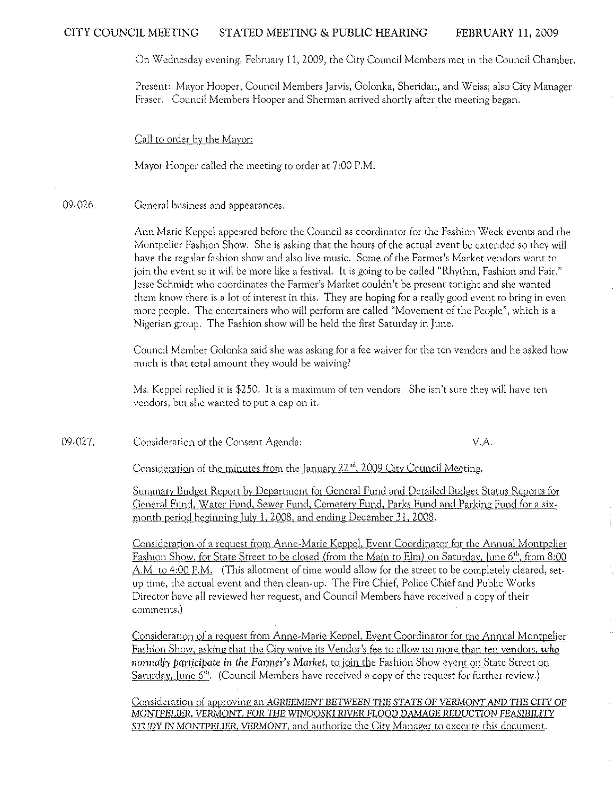On Wednesday evening, February 11, 2009, the City Council Members met in the Council Chamber.

Present: Mayor Hooper; Council Members Jarvis, Golonka, Sheridan, and Weiss; also City Manager Fraser. Council Members Hooper and Sherman arrived shortly after the meeting began.

Call to order by the Mayor:

Mayor Hooper called the meeting to order at 7 :00 P.M.

09-026. General business and appearances.

> Ann Marie Keppel appeared before the Council as coordinator for the Fashion Week events and the Montpelier Fashion Show. She is asking that the hours of the actual event be extended so they will have the regular fashion show and also live music. Some of the Farmer's Market vendors want to join the event so it will be more like a festival. It is going to be called "Rhythm, Fashion and Fair." Jesse Schmidt who coordinates the Fanner's Market couldn't be present tonight and she wanted them know there is a lot of interest in this. They are hoping for a really good event to bring in even more people. The entertainers who will perform are called "Movement of the People", which is a Nigerian group. The Fashion show will be held the first Saturday in June.

> Council Member Golonka said she was asking for a fee waiver for the ten vendors and he asked how much is that total amount they would be waiving?

Ms. Keppel replied it is \$250. It is a maximum of ten vendors. She isn't sure they will have ten vendors, but she wanted to put a cap on it.

09-027. Consideration of the Consent Agenda: V.A.

Consideration of the minutes from the January 22<sup>nd</sup>, 2009 City Council Meeting.

Summaty Budget Report by Department for General Fund and Detailed Budget Status Reports for General Fund, Water Fund, Sewer Fund, Cemetery Fund, Parks Fund and Parking Fund for a sixmonth period beginning July 1, 2008, and ending December 31, 2008.

Consideration of a request from Anne-Marie Keppel, Event Coordinator for the Annual Montpelier Fashion Show, for State Street to be closed (from the Main to Elm) on Saturday, June 6<sup>th</sup>, from 8:00 A.M. to 4:00 P.M. (This allotment of time would allow for the street to be completely cleared, setup time, the actual event and then clean-up. The Fire Chief, Police Chief and Public Works Director have all reviewed her request, and Council Members have received a copy 'of their comments.)

Consideration of a request from Anne-Marie Keppel, Event Coordinator for the Annual Montpelier Fashion Show, asking that the City waive its Vendor's fee to allow no more than ten vendors, *who normally participate in the Farmer's Market, to join the Fashion Show event on State Street on* Saturday, June  $6<sup>th</sup>$ . (Council Members have received a copy of the request for further review.)

Consideration of approving an AGREEMENT BETWEEN THE STATE OF VERMONT AND THE CITY OF MONTPELIER, VERMONT, FOR THE WINOOSKI RIVER FLOOD DAMAGE REDUCTION FEASIBILITY STUDY IN MONTPELIER, VERMONT, and authorize the City Manager to execute this document.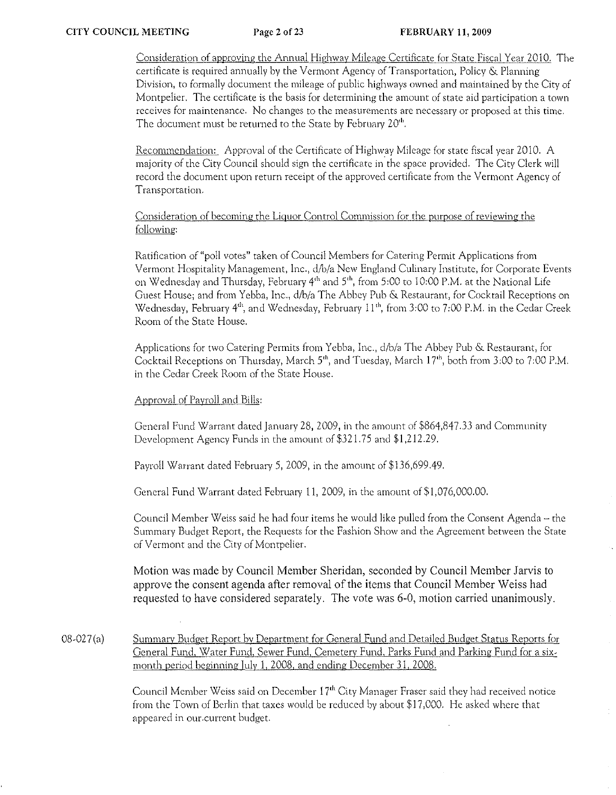Consideration of approving the Annual Highway Mileage Certificate for State Fiscal Year 2010. The certificate is required annually by the Vermont Agency of Transportation, Policy & Planning Division, to formally document the mileage of public highways owned and maintained by the City of Montpelier. The certificate is the basis for determining the amount of state aid participation a town receives for maintenance. No changes to the measurements are necessary or proposed at this time. The document must be returned to the State by February 20<sup>th</sup>.

Recommendation: Approval of the Certificate of Highway Mileage for state fiscal year 2010. A majority of the City Council should sign the certificate in the space provided. The City Clerk will record the document upon return receipt of the approved certificate from the Vermont Agency of **Transportation,** 

# Consideration of becoming the Liquor Control Commission for the purpose of reviewing the following:

Ratification of "poll votes" taken of Council Members for Catering Permit Applications from Vermont Hospitality Management, Inc., d/b/a New England Culinary Institute, for Corporate Events on Wednesday and Thursday, February 4<sup>th</sup> and 5<sup>th</sup>, from 5:00 to 10:00 P.M. at the National Life Guest House: and from Yebba, Inc., d/b/a The Abbey Pub & Restaurant, for Cocktail Receptions on Wednesday, February 4<sup>th</sup>, and Wednesday, February 11<sup>th</sup>, from 3:00 to 7:00 P.M. in the Cedar Creek Room of the State House.

Applications for two Catering Permits from Yebba, Inc., d/b/a The Abbey Pub & Restaurant, for Cocktail Receptions on Thursday, March 5<sup>th</sup>, and Tuesday, March 17<sup>th</sup>, both from 3:00 to 7:00 P.M. in the Cedar Creek Room of the State House.

# Approval of Payroll and Bills:

General Fund Warrant dated January 28, 2009, in the amount of \$864,847.33 and Community Development Agency Funds in the amount of \$321.75 and \$1,212.29.

Payroll Warrant dated February 5, 2009, in the amount of \$136,699.49.

General Fund Warrant dated February 11, 2009, in the amount of \$1,076,000.00.

Council Member Weiss said he had four items he would like pulled from the Consent Agenda - the Summary Budget Report, the Requests for the Fashion Show and the Agreement between the State of Vermont and the City of Montpelier.

Motion was made by Council Member Sheridan, seconded by Council Member Jarvis to approve the consent agenda after removal of the items that Council Member Weiss had requested to have considered separately. The vote was 6-0, motion carried unanimously.

08-027(a) Summary Budget Report by Department for General Fund and Detailed Budget Status Reports for General Fund, Water Fund, Sewer Fund, Cemetery Fund, Parks Fund and Parking Fund for a sixmonth period beginning Iuly 1, 2008, and ending December 31, 2008.

> Council Member Weiss said on December 17<sup>th</sup> City Manager Fraser said they had received notice from the Town of Berlin that taxes would be reduced by about \$17,000. He asked where that **appeared in our,currcnt budget.**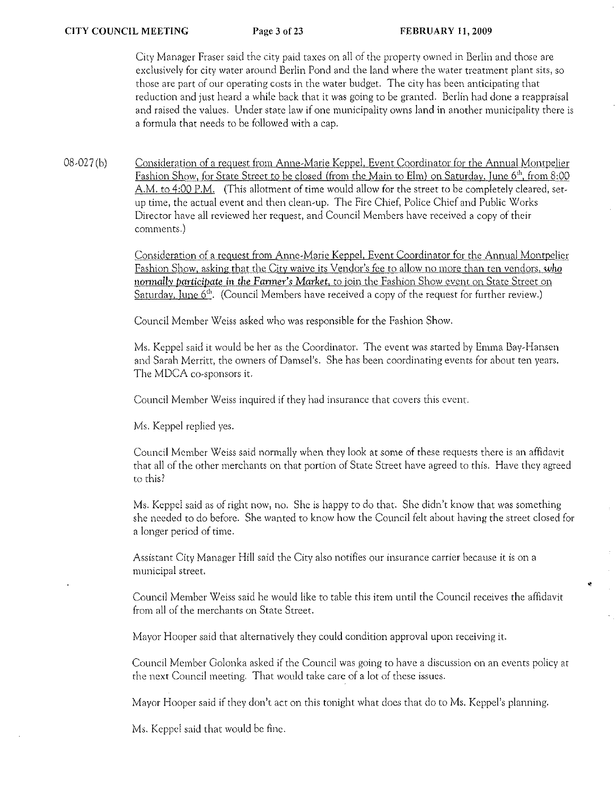City Manager Fraser said the city paid taxes on all of the property owned in Berlin and those are exclusively for city water around Berlin Pond and the land where the water treatment plant sits, so those are part of our operating costs in the water budget. The city has been anticipating that reduction and just heard a while back that it was going to be granted. Berlin had done a reappraisal and raised the values. Under state law if one municipality owns land in another municipality there is a formula that needs to be followed with a cap.

08-027 (b) Consideration of a request from Anne-Marie Keppel, Event Coordinator for the Annual Montpelier Fashion Show, for State Street to be closed (from the Main to Elm) on Saturday, June 6<sup>th</sup>, from 8:00 A.M. to 4:00 P.M. (This allotment of time would allow for the street to be completely cleared, setup time, the actual event and then clean-up. The Fire Chief, Police Chief and Public Works Director have all reviewed her request, and Council Members have received a copy of their comments.)

> Consideration of a request from Anne-Marie Keppel, Event Coordinator for the Annual Montpelier Fashion Show, asking that the City waive its Vendor's fee to allow no more than ten vendors, *who normally (JarticitJate* in the *Farmer's Market,* to join the Fashion Show event on State Street on Saturday, June  $6<sup>th</sup>$ . (Council Members have received a copy of the request for further review.)

Council Member Weiss asked who was responsible for the Fashion Show.

Ms. Keppel said it would be her as the Coordinator. The event was started by Emma Bay-Hansen and Sarah Merritt, the owners of Damsel's. She has been coordinating events for about ten years, The MDCA co-sponsors it.

Council Member Weiss inquired if they had insurance that covers this event.

Ms. Keppel replied yes.

Council Member Weiss said normally when they look at some of these requests there is an affidavit that all of the other merchants on that portion of State Street have agreed to this. Have they agreed to this?

Ms. Keppel said as of right now, no. She is happy to do that. She didn't know that was something she needed to do before. She wanted to know how the Council felt about having the street closed for a longer period of **tirnc.** 

Assistant City Manager Hill said the City also notifies our insurance carrier because it is on a municipal street.

Council Member Weiss said he would like to table this item until the Council receives the affidavit from all of the merchants on State Street.

•

Mayor Hooper said that alternatively they could condition approval upon receiving it.

Council Member Golonka asked if the Council was going to have a discussion on an events policy at the next Council meeting. That would take care of a lot of these issues.

Mayor Hooper said if they don't act on this tonight what does that do to Ms. Keppel's planning.

Ms. Keppel said that would be fine.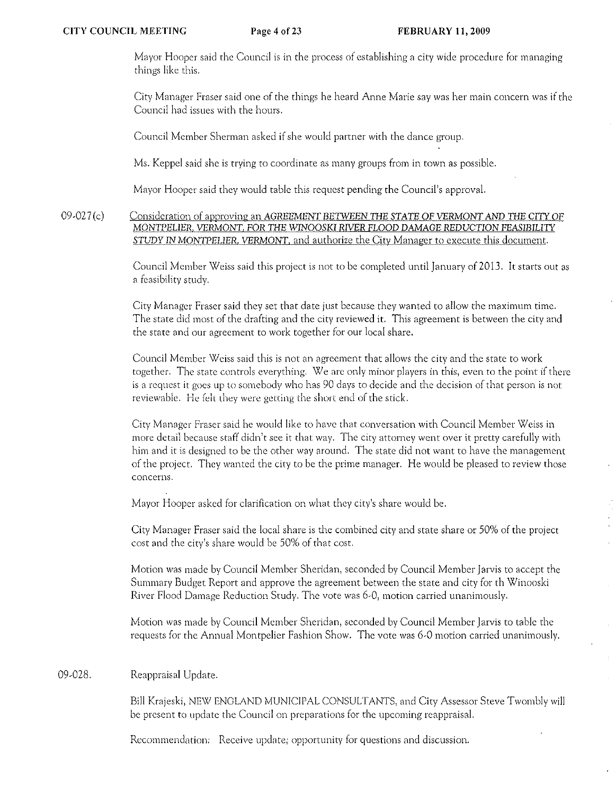Mayor Hooper said the Council is in the process of establishing a city wide procedure for managing things like this.

City Manager Fraser said one of the things he heard Anne Marie say was her main concern was if the Council had issues with the hours.

Council Member Sherman asked if she would partner with the dance group.

Ms. Keppel said she is trying to coordinate as many groups from in town as possible.

Mayor Hooper said they would table this request pending the Council's approval.

09-027 (c) Consideration of approving an AGREEMENT BETWEEN THE STATE OF VERMONT AND THE CITY OF MONTPELIER, VERMONT, FOR THE WINOOSKI RIVER FLOOD DAMAGE REDUCTION FEASIBILITY *STUDY* IN MONTPELIER. VERMONT, and authorize the City Manager to execute this document.

> Council Member Weiss said this project is not to be completed until January of 2013. It starts out as a feasibility study.

City Manager Fraser said they set that date just because they wanted to allow the maximum time. The state did most of the drafting and the city reviewed it. This agreement is between the city and the state and our agreement to work together for our local share,

Council Member Weiss said this is not an agreement that allows the city and the state to work together. The state controls everything. We arc only minor players in this) even to the point if there is a request it goes up to somebody who has 90 days to decide and the decision of that person is not reviewable. He felt they were getting the short end of the stick.

City Manager Fraser said he would like to have that conversation with Council Member Weiss in more detail because staff didn't see it that way. The city attorney went over it pretty carefully with him and it is designed to be the other way around. The state did not want to have the management of the project. They wanted the city to be the prime manager. He would be pleased to review those concerns.

Mayor Hooper asked for clarification on what they city's share would be.

City Manager Fraser said the local share is the combined city and state share or 50% of the project cost and the city's share would be 50% of that cost.

Motion was made by Council Member Sheridan, seconded by Council Member Jarvis to accept the Summary Budget Report and approve the agreement between the state and city for th Winooski River Flood Damage Reduction Study. The vote was 6-0, motion carried unanimously.

Motion was made by Council Member Sheridan, seconded by Council Member Jarvis to table the requests for the Annual Montpelier Fashion Show. The vote was 6-0 motion carried unanimously.

### 09-028. Reappraisal Update.

Bill Krajeski, NEW ENGLAND MUNICIPAL CONSULTANTS, and City Assessor Steve Twombly will be present to update the Council on preparations for the upcoming reappraisal.

Recommendation: Receive update; opportunity for questions and discussion.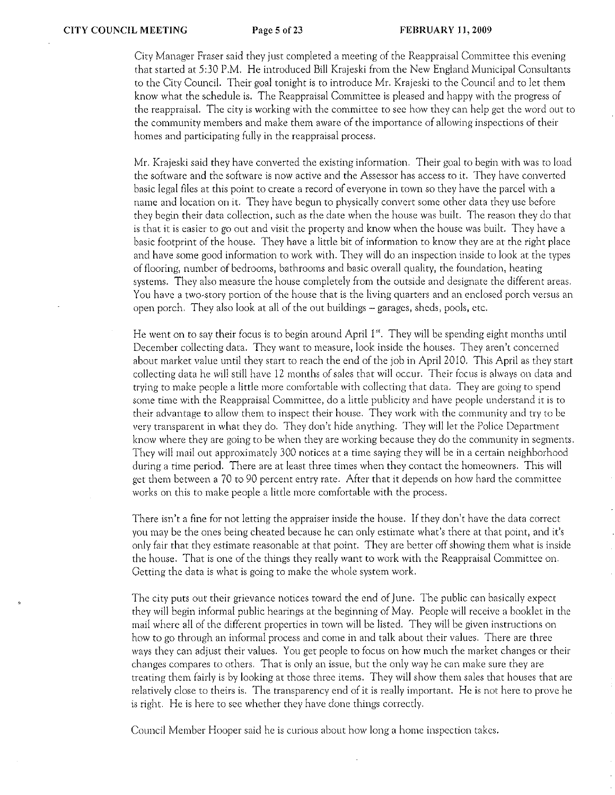City Manager Fraser said they just completed a meeting of the Reappraisal Committee this evening that started at 5:30 P.M. He introduced Bill Krajeski from the New England Municipal Consultants to the City Council. Their goal tonight is to introduce Mr. Krajeski to the Council and to let them know what the schedule is. The Reappraisal Committee is pleased and happy with the progress of the reappraisal. The city is working with the committee to sec how they can help get the word out to the community members and make them aware of the importance of allowing inspections of their homes and participating fully in the reappraisal process.

Mr. Krajeski said they have converted the existing information. Their goal to begin with was to load the software and the software is now active and the Assessor has access to it. They have converted basic legal files at this point to create a record of everyone in town so they have the parcel with a name and location on it. They have begun to physically convert some other data they use before they begin their data collection, such as the date when the house was built. The reason they do rhat is that it is easier ro go out and visit the property and know when the house was built. They have a basic footprint of the house. They have a little bit of information to know they arc at the right place and have some good information to work with. They will do an inspection inside to look at the types **of flooring, number of bedrooms, bathrooms and basic overall quality, the foundation, heating**  systems. They also measure the house completely from the outside and designate the different areas. You have a two-story portion of the house that is the living quarters and an enclosed porch versus an open porch. They also look at all of the out buildings - garages, sheds, pools, etc.

He went on to say their focus is to begin around April 1<sup>st</sup>. They will be spending eight months until December collecting data. They want to measure, look inside the houses. They aren't concerned about market value until they start to reach the end of the job in April 2010. This April as they start collecting data he will still have 12 months of sales that will occur. Their focus is always on dara and trying to make people a little more comfortable with collecting that data. They are going to spend some time with the Reappraisal Committee, do a little publicity and have people understand it is to their advantage to allow them to inspect their house. They work with the community and try to be very transparent in what they do. They don't hide anything. They will let the Police Department know where they arc going to be when they are working because they do the community in segments. They will mail out approximately 300 notices at a time saying they will be in a certain neighborhood **during a time period. There are at least three times when they contact the homeowners. This will**  get them between a 70 to 90 percent entry rate. After that it depends on how hard the committee works on this to make people a little more comfortable with the process.

There isn't a fine for not letting the appraiser inside the house. If they don't have the data correct you may be the ones being cheated because he can only estimate what's there at that point, and it's only fair that they estimate reasonable at that point. They arc better off showing them what is inside the house. That is one of the things they really want to work with the Reappraisal Committee on. Getting the data is what is going to make the whole system work.

The city puts out their grievance notices toward the end of June. The public can basically expect they will begin informal public hearings at the beginning of May. People will receive a booklet in the mail where all of the different properties in town will be listed. They will be given instructions on how to go through an informal process and come in and talk about their values. There arc three ways they can adjust their values. You get people to focus on how much the market changes or their **changes compares to others. That is only an issue, but the only way he can make sure they are**  treating them fairly is by looking at those three items. They will show them sales that houses that are relatively close to theirs is. The transparency end of it is really important. He is not here to prove he is right. He is here to *see* whether they have done things correctly.

**Council Member Hooper said he is curious about how long a home inspection takes.**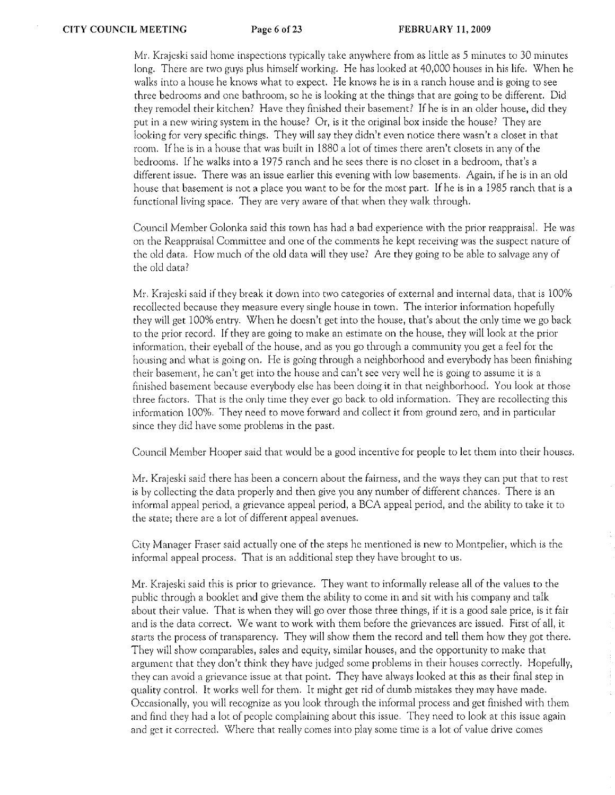Mr. Krajeski said home inspections typically take anywhere from as little as 5 minutes to 30 minutes long. There are two guys plus himself working. He has looked at 40,000 houses in his life. When he walks into a house he knows what to expect. He knows he is in a ranch house and is going to see three bedrooms and one bathroom, so he is looking at the things that are going to be different. Did they remodel their kitchen? Have they finished their basement? If he is in an older house, did they put in a new wiring system in the house? Or, is it the original box inside the house? They are looking for very specific things. They will say they didn't even notice there wasn't a closet in that room. Ifhe is in a house that was built in 1880 a lot of times there aren't closets in any of the bedrooms. Ifhe walks into a 1975 ranch and he sees there is no closet in a bedroom, that's a different issue. There was an issue earlier this evening with low basements. Again, if he is in an old house that basement is not a place you want to be for the most part. If he is in a 1985 ranch that is a functional living space. They are very aware of that when they walk through.

Council Member Golonka said this town has had a bad experience with the prior reappraisal. He was **on the Reappraisal Committee and one of the comments he kept receiving was the suspect nature of**  the old data. How much of the old data will they usc? Arc they going to be able to salvage any of the old data?

Mr. Krajeski said if they break it down into two categories of external and internal data, that is 100% recollected because they measure every single house in town. The interior information hopefully they will get 100% entry. When he doesn't get into the house, that's about the only time we go back to the prior record. If they are going to make an estimate on the house, they will look at the prior information, their eyeball of the house, and as you go through a community you get a feel for the housing and what: is going on. He is going through a neighborhood and everybody has been finishing **their basement) he canlt get into the house and can!t sec very well he is going to assume it is a**  finished basement because everybody else has been doing it in that neighborhood. You look at those three factors. That is the only time they ever go back to old information. They are recollecting this information 100%. They need to move forward and collect it from ground zero, and in particular since they did have some problems in the past.

Council Member Hooper said that would be a good incentive for people to let them into their houses.

Mr. Krajeski said there has been a concern about the fairness, and the ways they can put that to rest is by collecting the data properly and then give you any number of different chances. There is an informal appeal period, a grievance appeal period, a BCA appeal period, and the ability to take it to the state; there are a lot of different appeal avenues.

City Manager Fraser said actually one of the steps he mentioned is new to Montpelier, which is the informal appeal process. That is an additional step they have brought to us.

Mr. Krajeski said this is prior to grievance. They want to informally release all of the values to the public through a booklet and give them the ability to come in and sit with his company and talk about their value. That is when they will go over those three things, if it is a good sale price, is it fair and is the data correct. We want to work with them before the grievances arc issued. First of all, it starts the process of transparency. They will show them the record and tell them how they got there. They will show comparables, sales and equity, similar houses, and the opportunity to make that argument that they don't think they have judged some problems in their houses correctly. Hopefully, they can avoid a grievance issue at that point. They have always looked at this as their final step in quality control. It works well for them. It might get rid of dumb mistakes they may have made. Occasionally, you will recognize as you look through the informal process and get finished with them and find they had a lot of people complaining about this issue. They need to look at this issue again **and get it corrected. Where that really comes into play some time is a lot of value drive comes**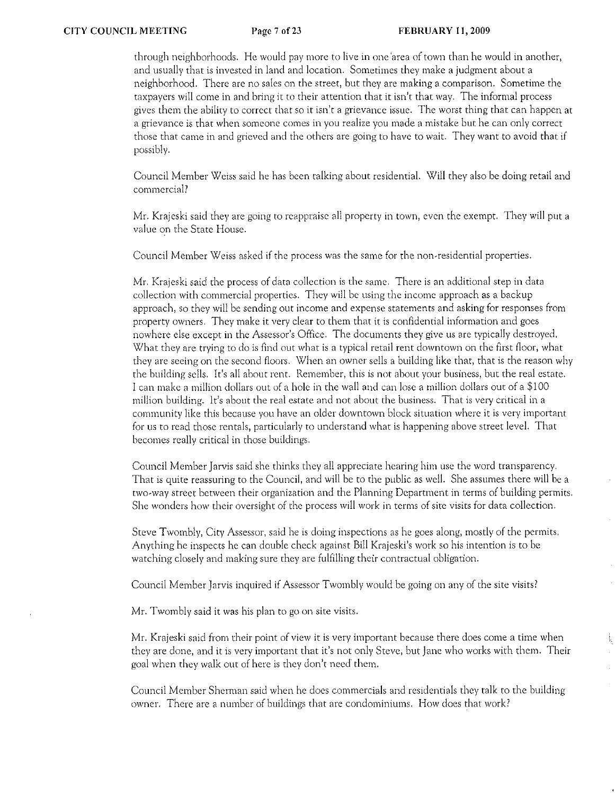through neighborhoods. He would pay more to live in one 'area of town than he would in another, and usually that is invested in land and location. Sometimes they make a judgment about a neighborhood. There arc no sales on the street, but they are making a comparison. Sometime the taxpayers will come in and bring it to their attention that it isn't that way. The informal process gives them the ability to correct that so it isn't a grievance issue. The worst thing that can happen at a grievance is that when someone comes in you realize you made a mistake but he can only correct those that came in and grieved and the others are going to have to wait. They want to avoid that if possibly.

Council Member Weiss said he has been talking about residential. Will they also be doing retail and commercial?

Mr. Krajeski said they are going to reappraise all property in town, even the exempt. They will put a value on the State House.

Council Member Weiss asked if the process was the same for the non-residential properties.

Mr. Krajeski said the process of data collection is the Same. There is an additional step in data collection with commercial properties. They will be using the income approach as a backup approach, so they will be sending out income and expense statements and asking for responses from property owners, They make it very clear to them that it is confidential information and goes nowhere else except in the Assessor's Office, The documents they give us arc typically destroyed. What they are trying to do is find out what is a typical retail rent downtown on the first floor, what they arc seeing on the second floors. When an owner sells a building like that, that is the reason why the building sells. It's all about rent. Remember, this is not about your business, but the real estate. I can make a million dollars out of a hole in the wall and can lose a million dollars out of a \$100 million building. It's about the real estate and not about the business. That is very critical in a community like this because you have an older downtown block situation where it is very important for us to read those rentals, particularly to understand what is happening above street level. That becomes really critical in those buildings.

Council Member *Jarvis* said she thinks they all appreciate hearing him use the word transparency. That is quite reassuring to the Council, and will be to the public as well. She assumes there will be a two~way street between their organization and the Planning Department in terms of building permits. She wonders how their *oversight* of the process will work in terms of site visits for data collection.

Steve Twombly, City Assessor, said he is doing inspections as he goes along, mostly of the permits. Anything he inspects he can double check against Bill Krajeski's work so his intention is to be watching closely and making sure they are fulfilling their contractual obligation.

Council Member Jarvis inquired if Assessor Twombly would be going on any of the site *visits?* 

Mr. Twombly said it was his plan to go on site visits.

Mr. Krajeski said from their point of view it is very important because there does come a time when they are done, and it is very important that it's not only Steve, but Jane who works with them. Their goal when they walk out of here is they don't need' them.

Council Member Sherman said when he docs commercials and residentials they talk to the building owner. There are a number of buildings that are condominiums, How does that work?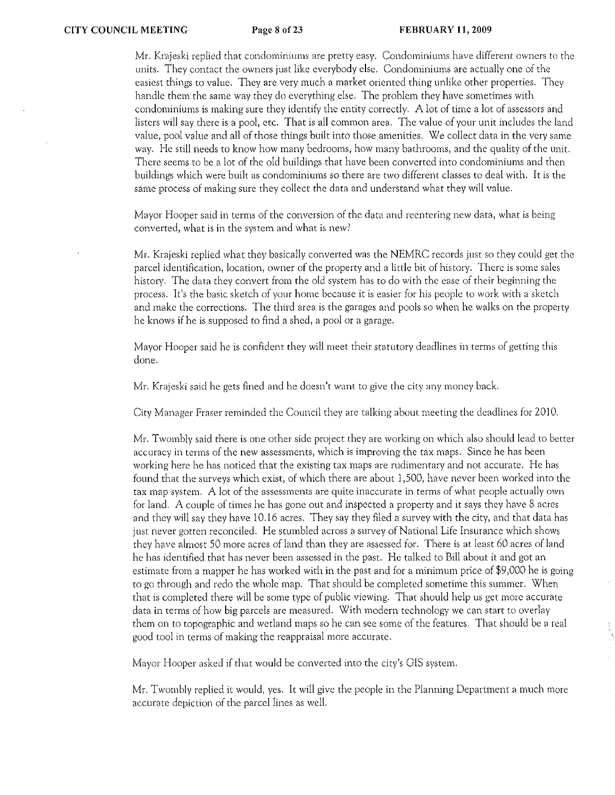**Mr. Krajeski replied that condominiums are pretty easy. Condorniniums have different owners to the**  units. They contact the owners just like everybody else. Condominiums are actually one of the easiest things to value. They are very much a market oriented thing unlike other properties. They handle them the same way they do everything else. The problem they have sometimes with condominiums is making sure they identify the entity correctly. A lot of time a lot of assessors and listers will say there is a pool, etc. That is all common area. The value of your unit includes the land value, pool value and all of those things built into those amenities. We collect data in the very same way. He still needs to know how many bedrooms, how many bathrooms, and the quality of the unit. There seems to be a lot of the old buildings that have been converted into condominiums and then buildings which were built as condominiums so there are two different classes to deal with. It is the same process of making sure they collect the data and understand what they will value.

**Mayor Hooper said in terms of the conversion of the data and reentering new data, what is being converted, what is in the system and what is new?** 

Mr. Krajeski replied what they basically converted was the NEMRC records just so they could get the parcel identification, location, owner of the property and a little bit of history. There is some sales history. The data they convert from the old system has to do with the ease of their beginning the process. It's the basic sketch of your home because it is easier for his people to work with a sketch and make the corrections. The third area is the garages and pools so when he walks on the property he knows if he is supposed to find a shed, a pool or a garage.

Mayor Hooper said he is confident they will meet their statutory deadlines in terms of getting this done.

Mr. Krajeski said he gets fined and he doesn't want to give the city any money back.

City Managcr Fraser reminded the Council they are talking about meeting the deadlines for 2010.

Mr. Twombly said there is one other side project they are working on which also should lead to better accuracy in terms of the new assessments, which is improving the tax maps. Since he has been **working here he has noticed that the existing tax maps are rudimentary and not accurate. He has**  found that the surveys which exist, of which there are about 1,500, have never been worked into the **tax map system. A lot of the assessments arc quite inaccurate in terms of what people actually own**  for land. A couple of times he has gone out and inspected a property and it says they have 8 acres and they will say they have 10.16 acres. They say they filed a survey with the city, and that data has just never gotten reconciled. He stumbled across a survey of National Life Insurance which shows they have almost 50 more acres of land than they arc assessed for. There is at least 60 acres of land he has identified that has never been assessed in the past. He talked to Bill about it and got an estimate from a mapper he has worked with in the past and for a minimum price of\$9,000 he is going to go through and redo the whole map. That should be completed sometime this summer. When that is completed there will be some type of public viewing. That should help us get more accurate data in terms of how big parcels are measured. With modern technology we can start to overlay them on to topographic and wetland maps so he can sec some of the features. That should be a real good tool in terms of making the reappraisal more accurate.

Mayor Hooper asked if that would be converted into the city's GIS system.

Mr. Twombly replied it would, yes. It will give the people in the Planning Department a much more accurate depiction of the parcel lines as well.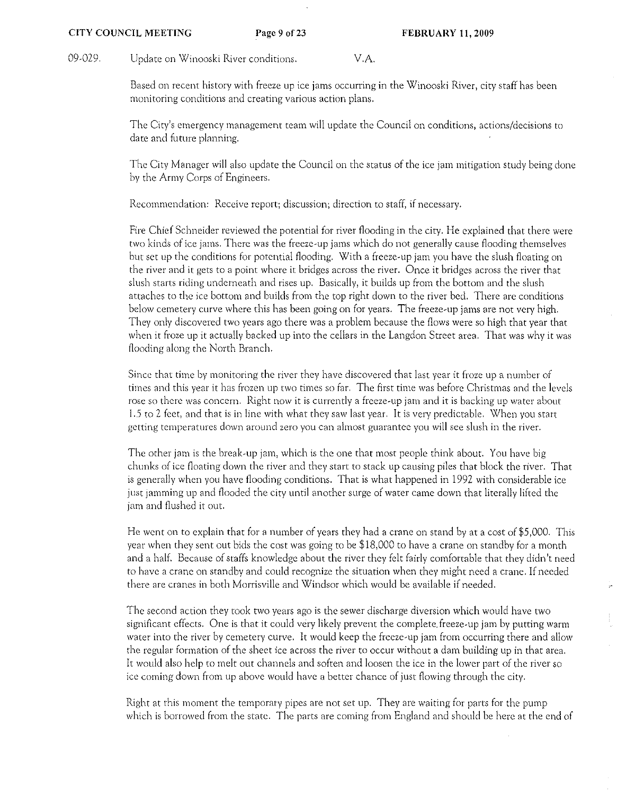09-029. Update on Winooski River conditions. V.A.

Based on recent history with freeze up icc jams occurring in the Winooski River, city staff has been monitoring conditions and creating various action plans,

The City's emergency management team will update the Council on conditions, actions/decisions to date and future planning.

The City Manager will also update the Council on the status of the ice jam mitigation study being done by the Army Corps of Engineers.

Recommendation: Receive report; discussion; direction to staff, if necessary.

Fire Chief Schneider reviewed the potential for river flooding in the city. He explained thar there were two kinds of icc jams. There was the freeze-up jams which do not generally cause flooding themselves but set up the conditions for potential flooding. With a freeze-up jam you have the slush floating on the river and it gets to a point where it bridges across the river. Once it bridges across the river that slush starts riding underneath and rises up. Basically, it builds up from the bottom and the slush attaches to the ice bottom and builds from the top right down to the river bed. There arc conditions below cemetery curve where this has been going on for years. The freeze-up jams are not very high. They only discovered two years ago there was a problem because the flows were so high that year that when it froze up it actually backed up into the cellars in the Langdon Street area. That was why it was flooding along the North Branch.

Since that tirnc by monitoring the river they have discovered that last year it froze up a number of times and this year it has frozen up two times so far. The first tirne was before Christmas and the levels rose so there was concern. Right now it is currently a freeze-up jam and it is backing up water about 1.5 to 2 feet, and that is in line with what they saw last year. It is very predictable. When you start getting temperatures down around zero you Can almost guarantee you will see slush in the river.

The other jam is the break-up jam, which is the one that most people think about. You have big chunks of icc floating down the river and they start to stack up causing piles that block the river. That is generally when you have flooding conditions. That is what happened in 1992 with considerable icc just jamming up and flooded the city until another surge of water came down that literally lifted the jam and flushed it out.

He went on to explain that for a number of years they had a crane on stand by at a cost of \$5,000. This year when they sent out bids the cost was going to be \$18,000 to have a crane on standby for a month and a half. Because of staffs knowledge about the river they felt fairly comfortable that they didn't need to have a crane on standby and could recognize the situation when they might need a crane. If needed there arc cranes in both Morrisville and Windsor which would be available if needed.

The second action they took two years ago is the sewer discharge diversion which would have two significant effects. One is that it could very likely prevent the complete freeze-up jam by putting warm water into the river by cemetery curve. It would keep the freeze-up jam from occurring there and allow the regular formation of the sheet ice across the river to occur without a dam building up in that area. It would also help to melt out channels and soften and loosen the ice in the lower part of the river so ice coming down from up above would have a better chance of just flowing through the city.

Right at this moment the temporary pipes arc not set up. They are waiting for parts for the pump which is borrowed from the state. The parts are coming from England and should be here at the end of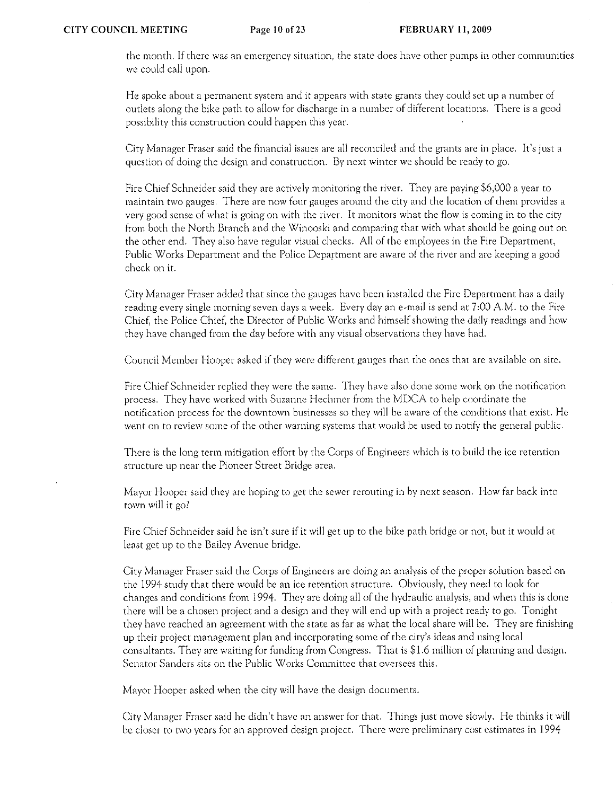the rnonth. If there was an emergency situation, the state docs have other pumps in other communities we could call upon.

He spoke about a permanent system and it appears with state grants they could set up a number of outlets along the bike path to allow for discharge in a number of different locations. There is a good possibility this construction could happen this year.

City Manager Fraser said the financial issues are all reconciled and the grants are in place. It's just a question of doing the design and construction. By next winter we should be ready to go.

Fire Chief Schneider said they are actively moniroring the river. They are paying \$6,000 a year to maintain two gauges. There are now four gauges around the city and the location of them provides a very good sense of what is going on with the river. It monitors what the flow is coming in to the city from both the North Branch and the Winooski and comparing that with what should be going out on the other end. They also have regular visual checks. All of the employees in the Fire Department, Public Works Department and the Police Department are aware of the river and are keeping a good check on it.

City Manager Fraser added that since the gauges have been installed the Fire Department has a daily reading every single morning seven days a week. Every day an e-mail is send at 7:00 A.M. to the Fire Chief, the Police Chief, the Director of Public Works and himself showing the daily readings and how they have changed from the day before with any visual observations they have had.

Council Member Hooper asked if they were different gauges than the ones that are available on site.

Fire Chief Schneider replied they were the same. They have also done some work on the notification process. They have worked with Suzanne Bechmer from the MDCA to heip coordinate the notification process for the downtown businesses so they will be aware of the conditions that exist. He went on to review some of the other warning systems that would be used to notify the general public.

There is the long term mitigation efforr by the Corps of Engineers which is to build the ice retention structure up near the Pioneer Street Bridge area,

Mayor Hooper said they are hoping to get the sewer rerouting in by next season. How far back into town will it go?

Fire Chief Schneider said he isn't sure if it will get up to the bike path bridge or not, but it would at least get up to the Bailey Avenue bridge.

City Manager Fraser said the Corps of Engineers arc doing an analysis of the proper solution based on the 1994 study that there would be an ice retention structure. Obviously, they need to look for changes and conditions from 1994. They are doing all of the hydraulic analysis, and when this is done there will be a chosen project and a design and they will end up with a project ready to go. Tonight they have reached an agreement with the state as far as what the local share will be. They arc finishing up their project management plan and incorporating some of the city's ideas and using local consultants. They arc waiting for funding from Congress. That is \$1.6 million of planning and design. Senator Sanders sits on the Public Works Committee that oversees this.

Mayor Hooper asked when the city will have the design documents.

City Manager Fraser said he didn't have an answer for that. Things just move slowly. He thinks it will be closer to two years for an approved design project, There were preliminary cost estimates in 1994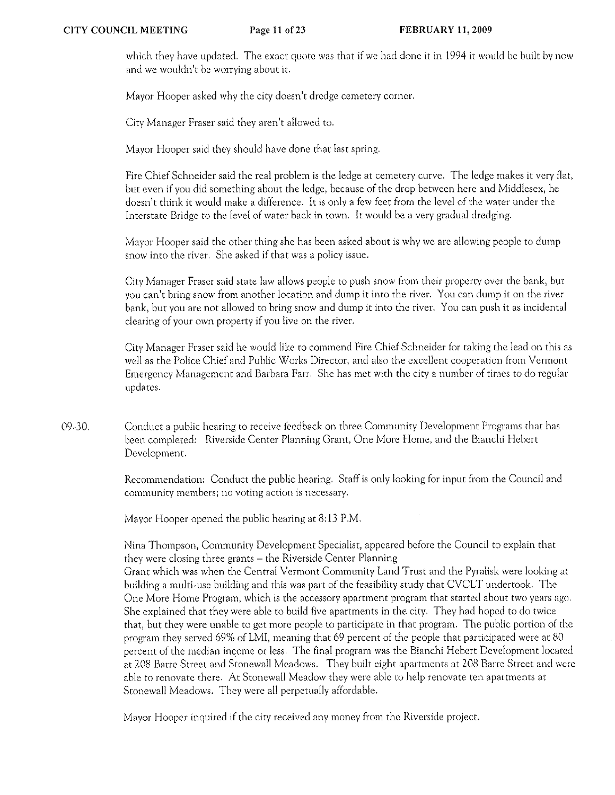which they have updated. The exact quote was that if we had done it in 1994 it would be built by now **and we wouldn't be worrying about it.** 

Mayor Hooper asked why the city doesn't dredge cemetery corner.

City Manager Fraser said they aren't allowed to.

Mayor Hooper said they should have done that last spring.

Fire Chief Schneider said the real problem is the ledge at cemetery curve. The ledge makes it very flat, but even if you did something about the ledge, because of the drop between here and Middlesex, he doesn't think it would make a difference. It is only a few feet from the level of the water under the Interstate Bridge to the level of water back in town. It would be a very gradual dredging.

Mayor Hooper said the other thing she has been asked about is why we arc allowing people to dump snow into the river. She asked if that was a policy issue.

City Manager Fraser said state law allows people to push snow from their property over the bank, but **you can\ bring snow from another location and dump it into the river. You can dump it on the river**  bank, but you arc not allowed to bring snow and dump it into the river. You can push it as incidental clearing of your own property if you live on the river.

City Manager Fraser said he would like to commend Fire Chief Schneider for taking the lead on this as well as the Police Chief and Public Works Director, and also the excellent cooperation from Vermont **Emergency Managernent and Barbara Farr. She has rnet with the city a nurnber of times to do regular updates.** 

09·30. Conduct a public hearing to receive feedback on three Community Development Programs that has been completed: Riverside Center Planning Grant, One More Home, and the Bianchi Hebert Development.

> Recommendation: Conduct the public hearing. Staff is only looking for input from the Council and **community members; no voting action is necessary.**

Mayor Hooper opened the public hearing at 8: 13 P.M.

Nina Thompson, Community Development Specialist, appeared before the Council to explain that they were closing three grants - the Riverside Center Planning

Grant which was when the Central Vermont Community Land Trust and the Pyralisk were looking at building a multi·use building and this was part of the feasibility study that CVCLT undertook. The One More Home Program, which is the accessory apartment program that started about two years ago. She explained that they were able to build five apartments in the city. They had hoped to do twice that, but they were unable to get more people to participate in that program. The public portion of the program they served 69% of LMI, meaning that 69 percent of the people that participated were at 80 percent of the median income or less. The final program was the Bianchi Hebert Development located at 208 Barre Street and Stonewall Meadows. They built eight apartments at 208 Barre Street and were able to renovate there. At Stonewall Meadow they were able to help renovate ten apartments at Stonewall Meadows. They were all perpetually affordable.

Mayor Hooper inquired if the city received any money from the Riverside project.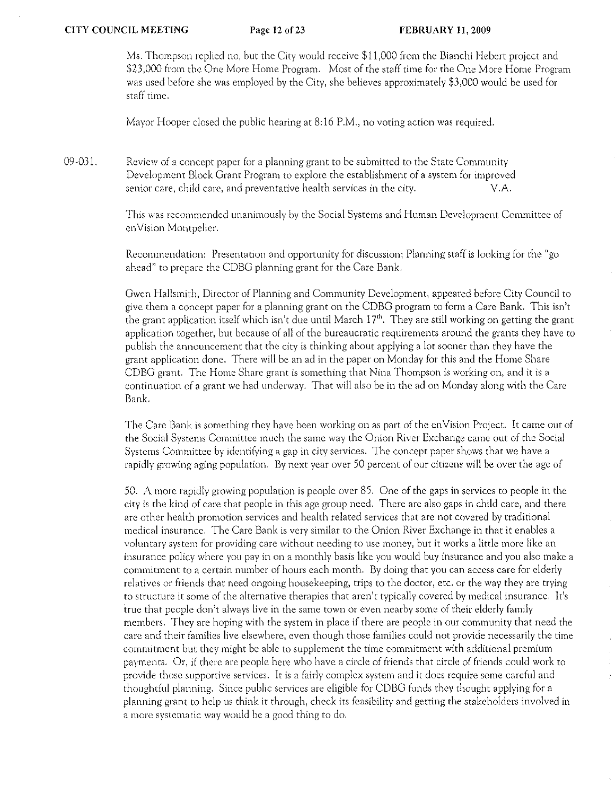Ms. Thompson replied no, but the City would receive \$11,000 from the Bianchi Hebert project and \$23,000 from the One More Home Program. Most of the staff time for the One More Home Program was used before she was employed by the City, she believes approximately \$3,000 would be used for staff time.

Mayor Hooper closed the public hearing at 8: 16 P.M., no voting action was required.

09-031. Review of a concept paper for a planning grant to be submitted to the State Community Development Block Grant Program to explore the establishment of a system for improved senior care, child care, and preventative health services in the city. V.A.

> This was recommended unanimously by the Social Systems and Human Development Committee of enVision Montpelier.

> Recommendation: Presentation and opportunity for discussion; Planning staff is looking for the "go ahead" to prepare the CDBG planning grant for the Care Bank.

Gwen Hallsmith, Director of Planning and Community Development, appeared before City Council to give them a concept paper for a planning grant on the CDBG program to form a Care Bank. This isn't the grant application itself which isn't due until March  $17<sup>th</sup>$ . They are still working on getting the grant application together, but because of all of the bureaucratic requirements around the grants they have to publish the announcement that the city is thinking about applying a lot sooner than they have the grant application done. There will be an ad in the paper on Monday for this and the Home Share CDBG grant. The Home Share grant is something that Nina Thompson is working on, and it is a continuation of a grant we had underway. That will also be in the ad on Monday along with the Care Bank.

The Care Bank is something they have been working on as part of the en Vision Project. It came out of the Social Systems Committee much the same way the Onion River Exchange came out of the Social Systems Committee by identifying a gap in city services. The concept paper shows that we have a rapidly growing aging population. By next year over 50 percent of our citizens will be over the age of

50. A more rapidly growing population is people over 85. One of the gaps in services to people in the city is the kind of care that people in this age group need. There arc also gaps in child care, and there arc other health promotion services and health related services that arc not covered by traditional medical insurance. The Care Bank is very similar to the Onion River Exchange in that it enables a voluntary system for providing care without needing to use money, but it works a little more like an insurance policy where you pay in on a monthly basis like you would buy insurance and you also make a commitment to a certain number of hours each month. By doing that you can access care for elderly relatives or friends that need ongoing housekeeping, trips to the doctor, etc. or the way they are trying to structure it some of the alternative therapies that aren't typically covered by medical insurance. It's true that people don't always live in the same town or even nearby some of their elderly family members. They are hoping with the system in place if there are people in our community that need the care and their families live elsewhere, even though those families could not provide necessarily the time commitment but they might be able to supplement the time commitment with additional premium payments. Or, if there are people here who have a circle of friends that circle of friends could work to provide those supportive services. It is a fairly complex system and it docs require some careful and thoughtful planning. Since public services arc eligible for CDBG funds they thought applying for a planning grant to help us think it through, check its feasibility and getting the stakeholders involved in a more systematic way would be a good thing to do.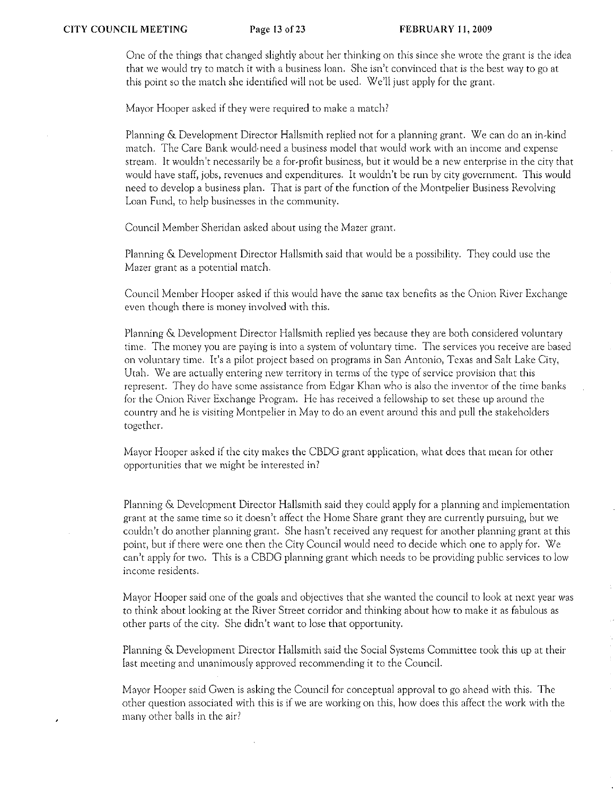One of the things that changed slightly about her thinking on this since she wrote the grant is the idea that we would try to match it with a business loan. She isn't convinced that is the best way to go at this point so the match she identified will not be used. We'll just apply for the grant.

Mayor Hooper asked if they were required to make a match?

Planning & Development Director Hallsmith replied not for a planning grant. We can do an in-kind match. The Care Bank would· need a business model that would work with an income and expense stream. It wouldn't necessarily be a for-profit business, but it would be a new enterprise in the city that would have staff, jobs, revenues and expenditures. It wouldn't be run by city government. This would need to develop a business plan. That is part of the function of the Montpelier Business Revolving Loan Fund, to help businesses in the community.

Council Member Sheridan asked about using the Mazer grant.

Planning & Development Director Hallsmith said that would be a possibility. They could usc the Mazer grant as a potential match.

Council Member Hooper asked if this would have the same tax benefits as the Onion River Exchange even though there is money involved with this.

Planning & Development Director Hallsmith replied yes because they are both considered voluntary time. The money you are paying is into a system of voluntary time. The services you receive are based on voluntary time. It's a pilot project based on programs in San Antonio, Texas and Salt Lake City, Utah. We are actually entering new territory in terms of the type of service provision that this represent. They do have some assistance from Edgar Khan who is also the inventor of the time banks for the Onion River Exchange Program. He has received a feliowship to set these up around the country and he is visiting Montpelier in May to do an event around this and pull the stakeholders together.

Mayor Hooper asked if the city makes the CBDG grant application, what docs that mean for other opportunities that we might be interested in?

Planning & Development Director Hallsmith said they could apply for a planning and implementation grant at the same time so it doesn't affect the Home Share grant they are currently pursuing, but we couldn't do another planning grant. She hasn't received any request for another planning grant at this point, but if there were one then the City Council would need to decide which one to apply for. We can't apply for two. This is a CBDG planning grant which needs to be providing public services to low income residents.

Mayor Hooper said one of the goals and objectives that she wanted the council to look at next year was to think about looking at the River Street corridor and thinking about how to make it as fabulous as other parts of the city. She didn't want to lose that opportunity.

Planning & Development Director Hallsmith said the Social Systems Committee took this up at their last meeting and unanimously approved recommending it to the Council.

Mayor Hooper said Gwen is asking the Council for conceptual approval to go ahead with this. The other question associated with this is if we are working on this, how does this affect the work with the many other balls in the air?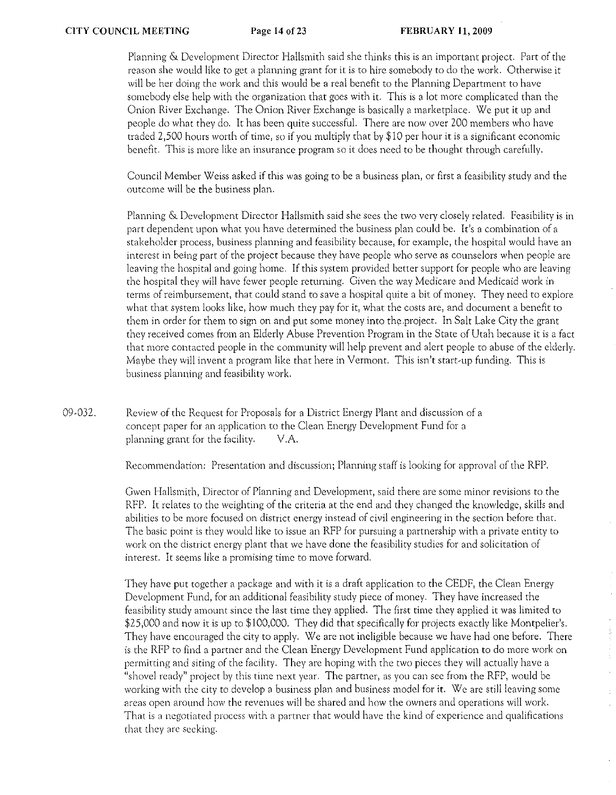Planning & Development Director Hallsmith said she thinks this is an important project. Part of the reason she would like to get a planning grant for it is to hire somebody to do the work. Otherwise it will be her doing the work and this would be a real benefit to the Planning Department to have somebody else help with the organization that goes with it. This is a lot more complicated than the Onion River Exchange. The Onion River Exchange is basically a marketplace. We put it up and people do what they do. It has been quite successful. There are now over 200 members who have traded 2,500 hours worth of time, so if you multiply that by \$10 per hour it is a significant economic benefit. This is more like an insurance program so it does need to be thought through carefully.

Council Member Weiss asked if this was going to be a business plan, or first a feasibility study and the outcome will be the business plan.

Planning & Development Director Hallsmith said she sees the two very closely related. Feasibility is in part dependent upon what you have determined the business plan could be. It's a combination of a stakeholder process, business planning and feasibility because, for example, the hospital would have an interest in being part of the project because they have people who serve as counselors when people are leaving the hospital and going home. If this system provided better support for people who are leaving the hospital they will have fewer people returning. Given the way Medicare and Medicaid work in terms of reimbursement, that could stand to save a hospital quite a bit of money. They need to explore what that system looks like, how much they pay for it, what the costs are, and document a benefit to them in order for them to sign on and put some money into the.project. In Salt Lake City the grant they received comes from an Elderly Abuse Prevention Program in the State of Utah because it is a fact that more contacted people in the community will help prevent and alert people to abuse of the elderly. Maybe they will invent a program like that here in Vermont. This isn't start-up funding. This is business planning and feasibility work.

09-032. Review of the Request for Proposals for a District Energy Plant and discussion of a concept paper for an application to the Clean Energy Development Fund for a planning grant for the facility. V.A.

Recommendarion: Presentation and discussion; Planning staff is looking for approval of rhe RFP.

**Gwen Hallsmith, Director of Planning and Development, said there are some minor revisions to the**  RFP. It relates to the weighting of the criteria at the end and rhey changed the knowledge, skills and **abilities to be more focused on district energy instead of civil engineering in the section before that.**  The basic point is they would like to issue an RFP for pursuing a partnership with a private entity to work on the district energy plant that we have done the feasibility studies for and solicitation of **interest. It seems like a promising time to move forward.** 

They have put together a package and with it is a draft application to the CEDF, the Clean Energy Development Fund, for an additional feasibility study piece of money. They have increased the feasibility study amount since the last time they applied. The first time they applied it was limited to \$25,000 and now it is up to \$100,000. They did that specifically for projects exactly like Montpelier's. They have encouraged the city to apply. We are not ineligible because we have had one before. There is the RFP to find a partner and the Clean Energy Development Fund application to do more work on permitting and siting of the facility. They are hoping wirh the two pieces they will actually have a **"shovel ready'! project by this time next year. The partner, as you can see from the RFP, would be**  working wirh the city to develop a business plan and business model for it. We are still leaving some **areas open around how the revenues will be shared and how the owners and operations will work. That is a negotiated process with a partner that would have the kind of experience and qualifications that they arc seeking.**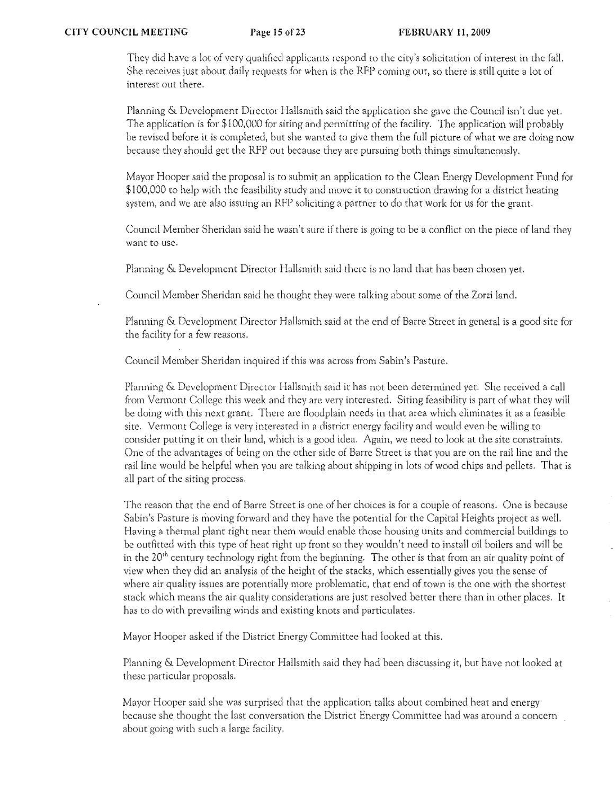They did have a lot of very qualified applicants respond to the city's solicitation of interest in the fall. She receives just about daily requests for when is the RFP coming out, so there is still quite a lot of interest out there,

Planning & Development Director Hallsmith said the application she gave the Council isn't due yet. The application is for \$100,000 for siting and permitting of the facility. The application will probably be revised before it is completed, but she wanted to give them the full picture of what we are doing now because they should get the RFP out because they are pursuing both things simultaneously.

Mayor Hooper said the proposal is to submit an application to the Clean Energy Development Fund for \$100,000 to help with the feasibility study and move it to construction drawing for a district heating system, and we are also issuing an RFP soliciting a partner to do that work for us for the grant.

Council Member Sheridan said he wasn't sure if there is going to be a conflict on the piece of land they want to use.

Planning & Development Director Hallsmith said there is no land that has been chosen yet.

Council Member Sheridan said he thought they were talking about some of the Zorzi land.

Planning & Development Director Hallsmith said at the end of Barre Street in general is a good site for the facility for a few reasons.

Council Member Sheridan inquired if this was across from Sabin's Pasture.

Planning & Development Director Hallsmith said it has not been determined yet. She received a call from Vermont College this week and they are very interested. Siting feasibility is part of what they will be doing with this next grant. There are floodplain needs in that area which eliminates it as a feasible site. Vermont College is very interested in a district energy facility and would even be willing to consider putting it on their land, which is a good idea, Again, we need to look at the site constraints, One of the advantages of being on the other side of Barre Street is that you are on the rail line and the rail line would be helpful when you arc talking about shipping in lots of wood chips and pellets. That is all part of the siting process.

The reason that the end of Barre Street is one of her choices is for a couple of reasons. One is because Sabin's Pasture is moving forward and they have the potential for the Capital Heights project as well. Having a thermal plant right ncar them would enable those housing units and commercial buildings to be outfitted with this type of heat right up front so they wouldn't need to install oil boilers and will be in the  $20<sup>th</sup>$  century technology right from the beginning. The other is that from an air quality point of view when they did an analysis of the height of the stacks, which essentially gives you the sense of where air quality issues are potentially more problematic, that end of town is the one with the shortest stack which means the air quality considerations are just resolved better there than in other places. It has to do with prevailing winds and existing knots and particulates.

Mayor Hooper asked if the District Energy Committee had looked at this.

Planning & Development Director Hallsmith said they had been discussing it, but have not looked at these particular proposals.

Mayor Hooper said she was surprised that the application talks about combined heat and energy because she thought the last conversation the District Energy Committee had was around a concern about going with such a large facility.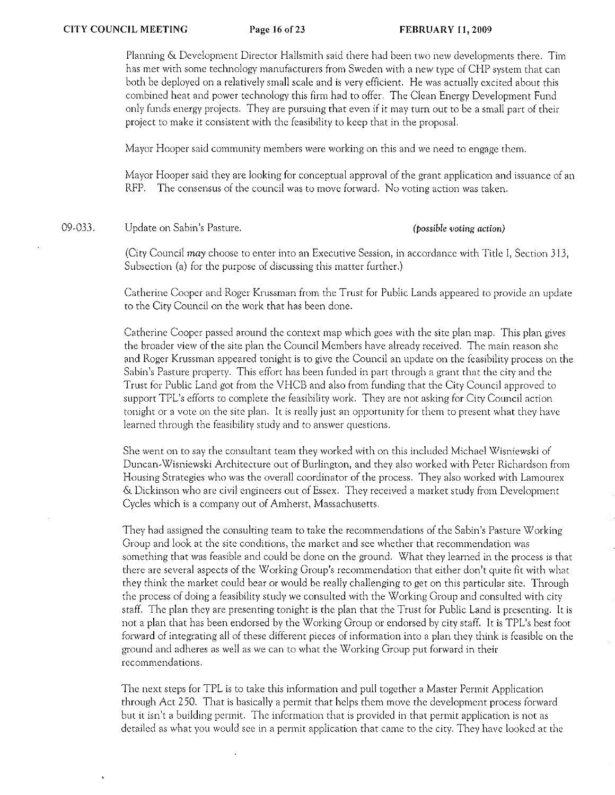Planning & Development Director Hallsmith said there had been two new developments there. Tim has met with some technology manufacturers from Sweden with a new type of CHP system that can both be deployed on a relatively small scale and is very efficient. He was actually excited about this combined heat and power technology this firm had to offer. The Clean Energy Development Fund only funds energy projects. They arc pursuing that even if it may turn out to be a small part of their project to make it consistent with the feasibility to keep that in the proposal.

**Mayor Hooper said cornmunity members were working on this and we need to engage them.** 

Mayor Hooper said they are looking for conceptual approval of the grant application and issuance of an RFP. The consensus of the council was to move forward. No voting action was taken.

09-033. Update on Sabin's Pasture. *(possible voting action)* 

(City Council may choose to enter into an Executive Session, in accordance with Title I, Section 313, Subsection (a) for the purpose of discussing this matter further.)

Catherine Cooper and Roger Krussman from the Trust for Public Lands appeared to provide an update to the City Council on the work that has been done.

Catherine Cooper passed around the context map which goes with the site plan map. This plan gives the broader view of the site plan the Council Members have already received. The main reason she and Roger Krussman appeared tonight is to give the Council an update on the feasibility process on the Sabin's Pasture property. This effort has been funded in part through a grant that the city and the Trust for Public Land got from the VHCB and also from funding that the City Council approved to support TPL's efforts to complete the feasibility work. They are not asking for City Council action tonight or a vote on the site plan. It is really just an opportunity for them to present what they have **learned through the feasibility study and to answer questions.** 

She went on to say the consultant team they worked with on this included Michael Wisniewski of Duncan-Wisniewski Architecture out of Buriingron, and they also worked with Peter Richardson from Housing Strategies who was the overall coordinator of the process. They also worked with Lamourex & Dickinson who arc civil engineers out of Essex. They received a market study from Development Cycles which is a company out of Amherst, Massachusetts.

They had assigned the consulting team to take the recommendations of the Sabin's Pasture Working **Group and look at the site conditions, the market and see whether that recommendation was**  something that was feasible and could be done on the ground. What they learned in the process is that thete are several aspects of the Working Group's recommendation that either don't quite fit with what they think the market could bear or would be really challenging to get on this particular site. Through the process of doing a feasibility study we consulted with the Working Group and consulted with city staff. The plan they are presenting tonight is the plan that the Trust for Public Land is presenting. It is not a plan that has been endorsed by the Working Group or endorsed by city staff. It is TPL's best foot forward of integrating all of these different pieces of information into a plan they think is feasible on the ground and adheres as well as we can to what the Working Group put forward in their **rccornrncndations.** 

The next steps for TPL is to take this information and pull together a Master Permit Application through Act 250. That is basically a permit that helps them move the development process forward but it isn't a building permit. The information that is provided in that permit application is not as detailed as what you would see in a permit application that came to the city. They have looked at the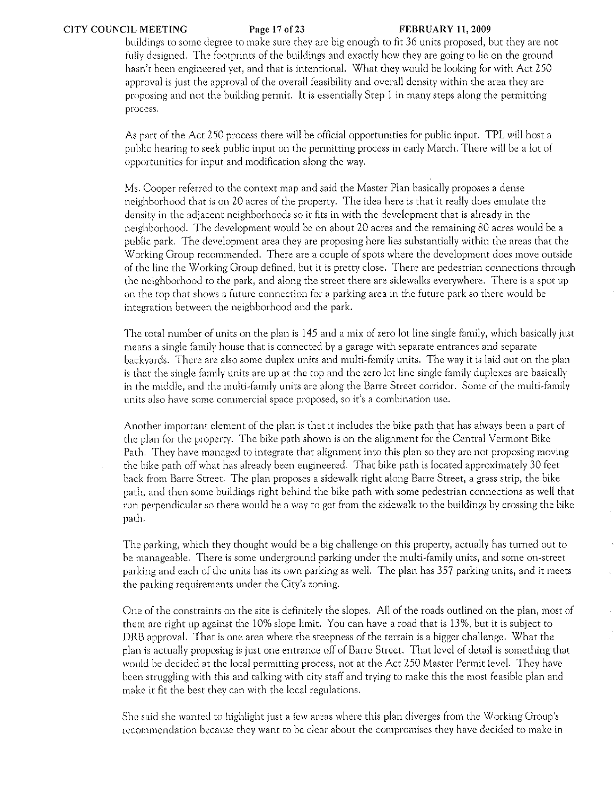## CITY COUNCIL MEETING Page 17 of23 FEBRUARY 11,2009

buildings to some degree to make sure they arc big enough to fit 36 units proposed) but they are not fully designed. The footprints of the buildings and exactly how they are going to lie on the ground hasn't been engineered yet, and that is intentional. What they would be looking for with Act 250 approval is just the approval of the overall feasibility and overall density within the area they are proposing and not the building permit. It is essentially Step 1 in many steps along the permitting process.

As part of the Act 250 process there will be official opportunities for public input. TPL will host a public hearing to seek public input on the permitting process in early March. There will be a lot of opportunities for input and modification along the way.

Ms. Cooper referred to the context map and said the Master Plan basically proposes a dense neighborhood that is on 20 acres of the property. The idea here is that it really does emulate the density in the adjacent neighborhoods so it fits in with the development that is already in the neighborhood. The development would be on about 20 acres and the remaining 80 acres would be a public park. The development area they are proposing here lies substantially within the areas that the Working Group recommended. There are a couple of spots where the development does move outside of the line the Working Group defined, but it is pretty close. There are pedestrian connections through the neighborhood to the park, and along the street there arc sidewalks everywhere. There is a spot up on the top that shows a future connection for a parking area in the future park so there would be integration between the neighborhood and the park.

The total number of units on the plan is 145 and a mix of zero lot line single family, which basically just means a single family house that is connected by a garage with separate entrances and separate backyards. There arc also some duplex units and multi-family units. The way it is laid out on the plan is that the single family units are up at the top and the zero lot line single family duplexes arc basically in the middle, and the multi-family units are along the Barre Street corridor. Some of the multi-family units also have some commercial space proposed, so it's a combination use.

Another important element of the plan is that it includes the bike path that has always been a part of the plan for the property. The bike path shown is on the alignment for the Central Vermont Bike Path. They have managed to integrate that alignment into this plan so they are not proposing moving the bike path off what has already been engineered. That bike path is located approximately 30 feet back from Barre Street. The plan proposes a sidewalk right along Barre Street, a grass strip, the bike path, and then some buildings right behind the bike path with some pedestrian connections as well that run perpendicular so there would be a way to get from the sidewalk to the buildings by crossing the bike path.

The parking, which they thought would be a big challenge on this property, actually has turned out to be manageable. There is some underground parking under the multi-family units, and some on-street parking and each of the units has its own parking as well. The plan has 357 parking units, and it meets the parking requirements under the City's zoning.

One of the constraints on the site is definitely the slopes. All of the roads outlined on the plan, most of them arc right up against the 10% slope limit. You can have a road that is 13%, but it is subject to ORB approval. That is one area where the steepness of the terrain is a bigger challenge. What the plan is actually proposing is just one entrance off of Barre Street. That level of detail is something that would be decided at the local permitting process, not at the Act 250 Master Permit level. They have been struggling with this and talking with city staff and trying to make this the most feasible plan and make it fit the best they can with the local regulations.

She said she wanted to highlight just a few areas where this plan diverges from the Working Group's recommendation because they want to be clear about the compromises they have decided to make in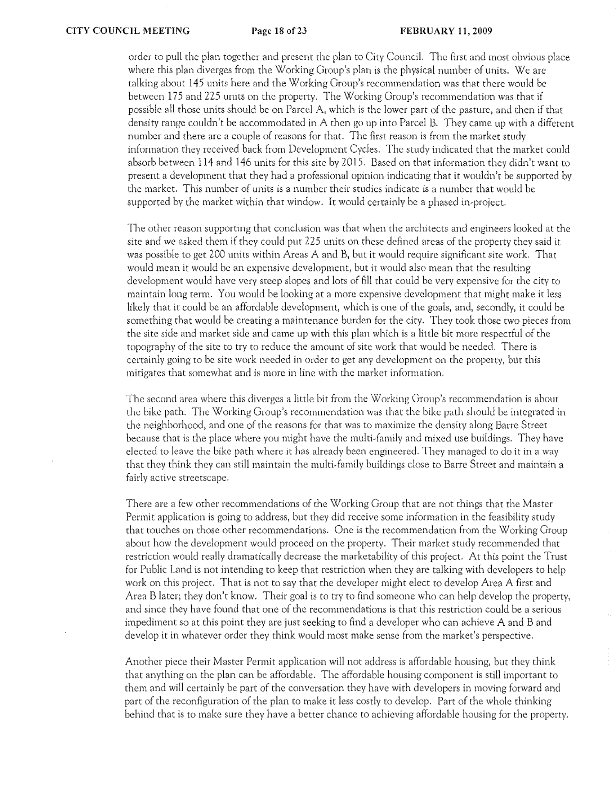order to pull the plan together and present the plan to City Council. The first and most obvious place where this plan diverges from the Working Group's plan is the physical number of units. We arc talking about 145 units here and the Working Group's recommendation was that there would be between 175 and 225 units on the property. The Working Ciroup's recommendation was that if possible all those units should be on Parcel A, which is the lower part of the pasture, and then if that density range couldn't be accommodated in A then go up into Parcel B. They came up with a different number and there are a couple of reasons for that. The first reason is from the market study information they received back from Development Cycles. The study indicated that the market could absorb between 114 and 146 units for this site by 2015. Based on that information they didn't want to present a development that they had a professional opinion indicating that it wouldn't be supported by the market.. This number of units is a number their studies indicate is a number that would be supported by the market within that window. It would certainly be a phased in·project.

The other reason supporting that conclusion was that when the architeets and engineers looked at the site and we asked them if they could put 225 units on these defined areas of the property they said it was possible to get 200 units within Areas A and B, but it would require significant site work. That would mean it would be an expensive development, but it would also mean that the resulting development would have very steep slopes and lots of fill that eould be very expensive for the city to maintain long term. You would be looking at a more expensive development that might make it less likely that it could be an affordable development, which is one of the goals, and, secondly, it could be something that would be creating a maintenance burden for the city. They took those two pieces from the site side and market side and came up with this plan which is a little bit more respectful of the topography of the site to try to reduce the amount of site work that would be needed. There is certainly going to be site work needed in order to get any development on the property, but this mitigates that somewhat and is more in line with the market information.

'fhc second area where this diverges a little bit from the Working Group)s recommendation is about the bike path. The Working Group's recommendation was that the bike path should be integrated in the neighborhood, and one of the reasons for that was to maximize the density along Barre Street because that is the place where you might have the multi.family and mixed use buildings. They have elected to leave the bike path where it has already been engineered. They managed to do it in a way that they think they can still maintain the multi~family buildings close to Barre Street and maintain a fairly active streetscape,

There are a few other recommendations of the Working Group that are not things that the Master Permit application is going to address, but they did receive some information in the feasibility study that touches on those other recommendations. One is the recornmendation from the Working Group about how the development would proceed on the property. Their market study recommended that restriction would really dramatically decrease the marketability of this project. At this point the Trust for Public Land is not intending to keep that restriction when they are talking with developers to help work on this project. That is not to say that the developer might elect to develop Area A first and Area B later; they don't know. Their goal is to try to find someone who can help develop the property, and since they have found that one of the recommendations is that this restriction could be a serious impediment so at this point they are just seeking to find a developer who can achieve A and Band develop it in whatever order they think would most make sense from the market's perspective.

Another piece their Master Permit application will not address is affordable housing, but they think that anything on the plan can be affordable. The affordable housing component is still important to them and will certainly be part of the conversation they have with developers in moving forward and part of the reconfiguration of the plan to make it less costly to develop. Part of the whole thinking behind that is to make sure they have a better chance to achieving affordable housing for the property.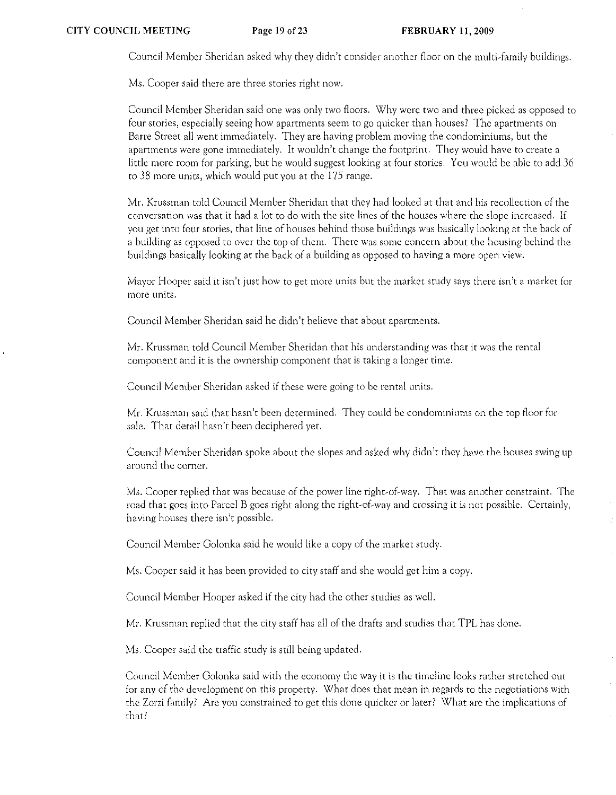Council Member Sheridan asked why they didn't consider another floor on the multi-family buildings.

Ms. Cooper said there are three stories right now.

Council Member Sheridan said one was only two floors. Why were two and three picked as opposed to four stories, especially seeing how apartments seem to go quicker than houses? The apartments on Barre Street all went immediately. They are having problem moving the condominiums, but the apartments were gone immediately. It wouldn't change the footprint. They would have to create a little more room for parking, but he would suggest looking at four stories. You would be able to add 36 to 38 more units, which would put you at the 175 range.

Mr. Krussman told Council Member Sheridan that they had looked at that and his recollection of the conversation was that it had a lot to do with the site lines of the houses where the slope increased. If you get into four stories, that line of houses behind those buildings was basically looking at the back of a building as opposed to over the top of them. There was some concern about the housing behind the buildings basically looking at the back of a building as opposed to having a more open view.

Mayor Hooper said it isn't just how to get more units but the market study says there isn't a market for rnorc units.

Council Member Sheridan said he didn't believe that about apartments.

Mr. Krussman told Council Member Sheridan that his understanding was that it was the rental component and it is the ownership component that is taking a longer time.

Council Member Sheridan asked if these were going to be rental units.

Mr. Krussman said that hasn't been determined. They could be condominiums on the top floor for sale. That detail hasn't been deciphered yet.

Council Member Sheridan spoke about the slopes and asked why didn't they have the houses swing up around the Corner.

Ms. Cooper replied that was because of the power line right-of-way. That was another constraint. The road that goes into Parcel B goes right along the right-of-way and crossing it is not possible. Certainly, having houses there isn't possible.

Council Member Golonka said he would like a copy of the market study.

Ms. Cooper said it has been provided to city staff and she would get him a copy.

Council Member Hooper asked if the city had the other studies as well.

Mr. Krussman replied that the city staff has all of the drafts and studies that TPL has done.

Ms. Cooper said the traffic study is still being updated.

Council Member Golonka said with the economy the way it is the timeline looks rather stretched out for any of the development on this property. What docs that mean in regards to the negotiations with the Zorzi family? Arc you constrained to get this done quicker or later? What are the implications of that?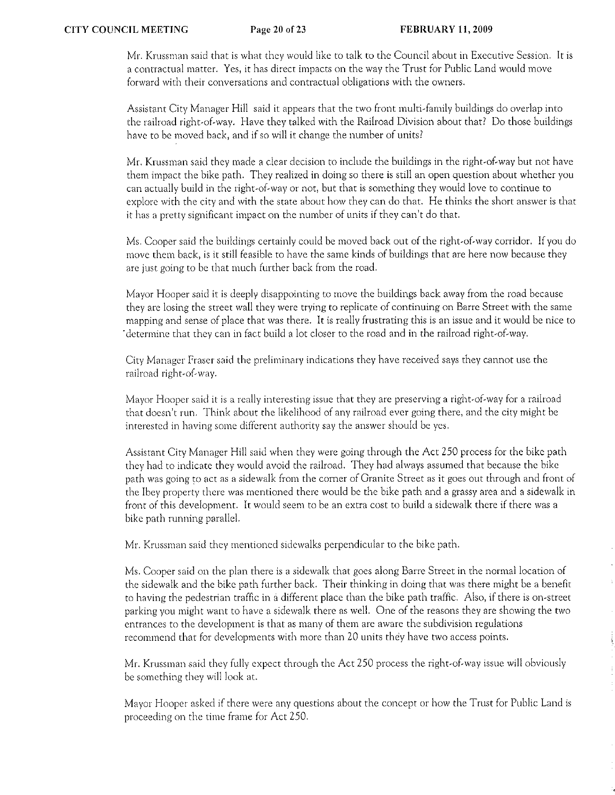Mr. Krussman said that is what they would like to talk to the Council about in Executive Session. It is a contractual matter. Yes, it has direct impacts on the way the Trust for Public Land would move forward with their conversations and contractual obligations with the owners.

Assistant City Manager Hill said it appears that the two front multi-family buildings do overlap into the railroad right-of-way. Have they talked with the Railroad Division about that? Do those buildings have to be moved back, and if so will it change the number of units?

Mr. Krussman said they made a clear decision to include the buildings in the right-of-way but not have them impact the bike path. They realized in doing so there is still an open question about whether you can actually build in the right-of-way or not, but that is something they would love to continue to explore with the city and with the state about how they can do that. He thinks the short answer is that **it has a pretty significant impact on the number of units if they can't do that.** 

Ms. Cooper said thc buildings certainly could be moved back out of the right-of-way corridor. If you do move them back, is it still feasible to have the same kinds of buildings that are here now because they are just going to be that much further back from the road.

Mayor Hooper said it is deeply disappointing to move the buildings back away from the road because they are losing the street wall they were trying to replicate of continuing on Barre Street with the same mapping and sense of place that was there. It is really frustrating this is an issue and it would be nice to . determine that they can in fact build a lot closer to the road and in the railroad right-of-way.

**City Manager Fraser said the preliminary indications they have received says they cannot use the railroad** right~of~way.

Mayor Hooper said it is a really interesting issue that they are preserving a right-of-way for a railroad that doesn't run. Think about the likelihood of any railroad ever going there, and the city might be **interested in having some different authority say the answer should be yes.** 

Assistant City Manager Hill said when they were going through the Act 250 process for the bike path they had to indicate they would avoid the railroad. They had always assumed that because the bike path was going to act as a sidewalk from the corner of Granite Street as it goes out through and front of the Ibey property there was mentioned there would be the bike path and a grassy area and a sidewalk in front of this development. It would seem to be an extra cost to build a sidewalk there if there was a bike path running parallel.

Mr. Krussman said they mentioned sidewalks perpendicular to the bike path.

Ms. Cooper said on the plan there is a sidewalk that goes along Barre Street in the normal location of the sidewalk and the bike path further back. Their thinking in doing that was there might be a benefit to having the pedestrian traffic in a different place than the bike path traffic. Also, if there is on-street parking you might want to have a sidewalk there as well. One of the reasons they are showing the two entrances to the development is that as many of them are aware the subdivision regulations recommend that for developments with more than 20 units they have two access points.

Mr. Krussman said they fully expect through the Act 250 process the right-of-way issue will obviously be something they will look at.

Mayor Hooper asked if there were any questions about the concept or how the Trust for Public Land is proceeding on the time frame for Act 250.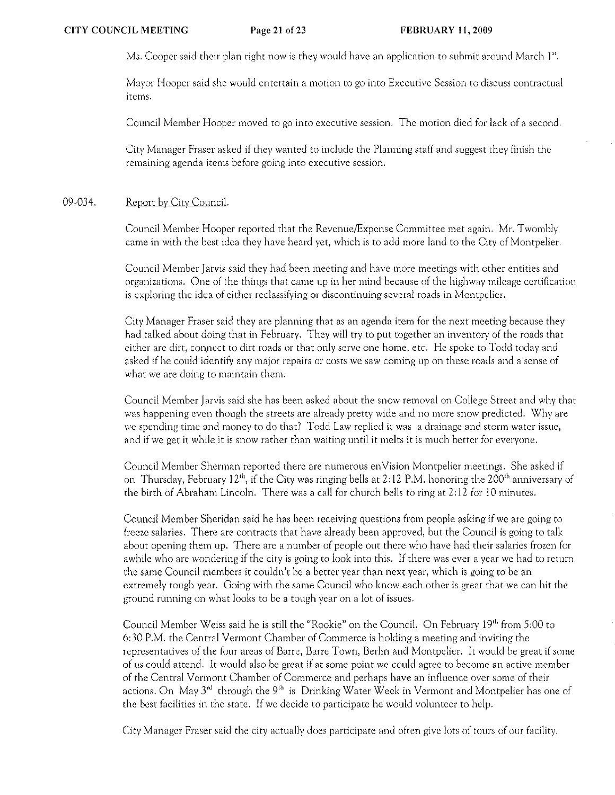Ms. Cooper said their plan right now is they would have an application to submit around March I".

Mayor Hooper said she would entertain a motion to go into Executive Session to discuss contractual items.

Council Member Hooper moved to go into executive session. The motion died for lack of a second.

City Manager Fraser asked if they wanted to include the Planning staff and suggest they finish the remaining agenda items before going into executive session.

#### 09-034. Report by City Council.

Council Member Hooper reported that the Revenue/Expense Committee met again. Mr. Twombly came in with the best idea they have heard yet, which is to add more land to the City of Montpelier.

Council Member Jarvis said they had been meeting and have more meetings with other entities and organizations. One of the things that came up in her mind because of the highway rnilcage certification is exploring the idea of either reclassifying or discontinuing several roads in Montpelier.

City Manager Fraser said they are planning that as an agenda item for the next meeting because they had talked about doing that in February. They will try to put together an inventory of the roads that either are dirt, connect to dirt roads or that only serve one home, etc. He spoke to Todd today and asked if he could identify any major repairs or costs we saw coming up on these roads and a sense of what we are doing to maintain them.

Council Member Jarvis said she has been asked about the snow removal on College Street and why that was happening even though the streets are already pretty wide and no more snow predicted. Why are we spending time and money to do that? Todd Law replied it was a drainage and storm water issue, and if we get it while it is snow rather than waiting until it melts it is much better for everyone.

Council Member Sherman reported there arc numerous enVision Montpelier meetings. She asked if on Thursday, February  $12^{th}$ , if the City was ringing bells at  $2:12$  P.M. honoring the 200<sup>th</sup> anniversary of the birth of Abraham Lincoln. There was a call for church bells to ring at 2:12 for 10 minutes.

Council Member Sheridan said he has been receiving questions from people asking if we arc going to freeze salaries. There are contracts that have already been approved, but the Council is going to talk about opening them up. There are a number of people out there who have had their salaries frozen for awhile who are wondering if the city is going to look into this. If there was ever a year we had to return the same Council members it couldn't be a better year than next year, which is going to be an extremely tough year. Going with the same Council who know each other is great that we can hit the ground running on what looks to be a tough year on a lot of issues.

Council Member Weiss said he is still the "Rookie" on the Council. On February 19'" from 5:00 to 6:30 P.M. the Central Vermont Chamber of Commerce is holding a meeting and inviting the representatives of the four areas of Barre, Barre Town) Berlin and Montpelier. It would be great if sorne of us could attend. It would also be great if at some point we could agree to become an active member of the Central Vermont Chamber of Commerce and perhaps have an influence over some of their actions. On May 3<sup>rd</sup> through the 9<sup>th</sup> is Drinking Water Week in Vermont and Montpelier has one of the best facilities in the state. If we decide to participate he would volunteer to help.

City Manager Fraser said the city actually docs participate and often give lots of tours of our facility.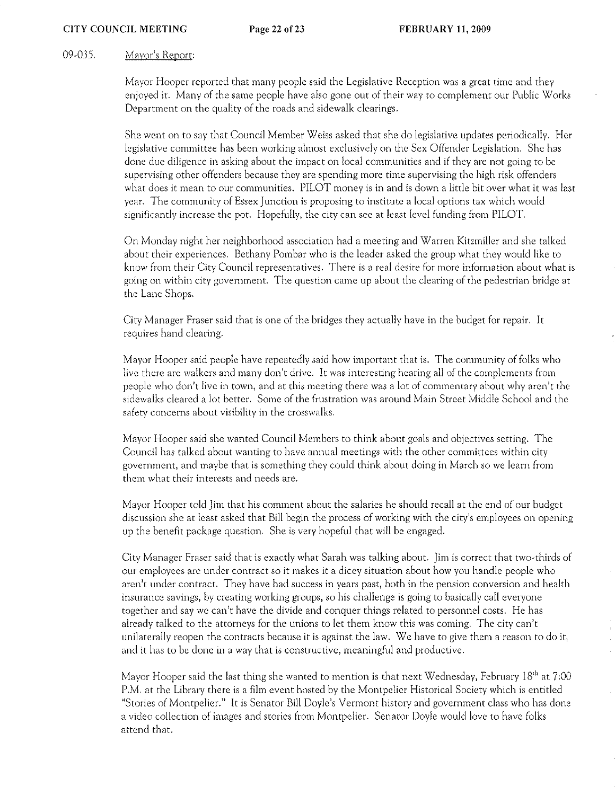## 09-035. **Mayor's Report:**

Mayor Hooper reported that many people said the Legislative Reception was a great time and they enjoyed it. Many of the same people have also gone out of their way to complement our Public Works Department on the quality of the roads and sidewalk clearings.

She went on to say that Council Member Weiss asked that she do legislative updates periodically. Her legislative committee has been working almost exclusively on the Sex Offender Legislation. She has done due diligence in asking about the impact on local communiries and if they are not going to be supervising other offenders because they are spending more time supervising the high risk offenders what does it mean to our communities. PILOT money is in and is down a little bit over what it was last year. The community of Essex Junction is proposing to institute a local options tax which would significantly increase the pot. Hopefully, the city can see at least level funding from PILOT.

On Monday night her neighborhood association had a meeting and Warren Kitzmiller and she talked about their experiences. Bethany Pombar who is the leader asked the group what they would like to **know from their City Council representatives. There is a real desire for more information about what is going on within city government. The question came up about the clearing of the pedestrian bridge at**  the Lane Shops.

City Manager Fraser said that is one of the bridges they actually have in the budget for repair. It **requires hand clearing.** 

Mayor Hooper said people have repeatedly said how important that is. The community of folks who live there are walkers and many don't drive. It was interesting hearing all of the complements from **people who don)t live in town, and at this meeting there was a lot of cornmcntary about why aren't: the sidewalks ciearcd a iot better, Some of the frustration was around Main Street Middle Schooi and the safety concerns about visibility in the crosswalks.** 

Mayor Hooper said she wanted Council Members to think about goals and objectives setting. The **Council has talked about wanting to have annual meetings with the other committees within city**  government, and maybe that is something they could think about doing in March so we learn from **them what their interests and needs are.** 

Mayor Hooper told Jim that his comment about the salaries he should recall at the end of our budget discussion she at least asked that Bill begin the process of working with the city's employees on opening up the benefit package question. She is very hopeful that will be engaged.

City Manager Fraser said that is exactly what Sarah was talking about. Jim is correct that two-thirds of our employees are under contract so it makes it a dicey situation about how you handle people who aren't under contract. They have had success in years past, both in the pension conversion and health **insurance savings, by creating working groups, so his challenge is going to basically call everyone**  together and say we can't have the divide and conquer things related to personnel costs. He has already talked to the attorneys for the unions to let them know this was coming. The city can't unilaterally reopen the contracts because it is against the law. We have to give them a reason to do it, **and it has to be done in a way that is constructive, meaningful and productive.** 

Mayor Hooper said the last thing she wanted to mention is that next Wednesday, February 18<sup>th</sup> at 7:00 P.M. at the Library there is a film event hosted by the Montpelier Historical Society which is entitled "Stories of Montpelier." It is Senator Bill Doyle's Vermont history and government class who has done a video collection of images and stories from Montpelier. Senator Doyle would love to have folks attend that.